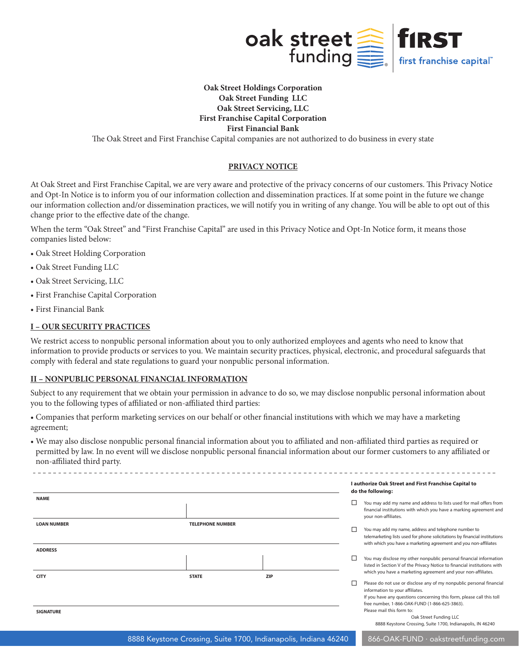

# **Oak Street Holdings Corporation Oak Street Funding LLC Oak Street Servicing, LLC First Franchise Capital Corporation First Financial Bank**

The Oak Street and First Franchise Capital companies are not authorized to do business in every state

# **PRIVACY NOTICE**

At Oak Street and First Franchise Capital, we are very aware and protective of the privacy concerns of our customers. This Privacy Notice and Opt-In Notice is to inform you of our information collection and dissemination practices. If at some point in the future we change our information collection and/or dissemination practices, we will notify you in writing of any change. You will be able to opt out of this change prior to the effective date of the change.

When the term "Oak Street" and "First Franchise Capital" are used in this Privacy Notice and Opt-In Notice form, it means those companies listed below:

- Oak Street Holding Corporation
- Oak Street Funding LLC
- Oak Street Servicing, LLC
- First Franchise Capital Corporation
- First Financial Bank

# **I – OUR SECURITY PRACTICES**

<u>. . . . . . . . . . . . . . . . . . .</u>

We restrict access to nonpublic personal information about you to only authorized employees and agents who need to know that information to provide products or services to you. We maintain security practices, physical, electronic, and procedural safeguards that comply with federal and state regulations to guard your nonpublic personal information.

#### **II – NONPUBLIC PERSONAL FINANCIAL INFORMATION**

Subject to any requirement that we obtain your permission in advance to do so, we may disclose nonpublic personal information about you to the following types of affiliated or non-affiliated third parties:

• Companies that perform marketing services on our behalf or other financial institutions with which we may have a marketing agreement;

• We may also disclose nonpublic personal financial information about you to affiliated and non-affiliated third parties as required or permitted by law. In no event will we disclose nonpublic personal financial information about our former customers to any affiliated or non-affiliated third party.

|                                      |                         |            | I authorize Oak Street and First Franchise Capital to<br>do the following: |                                                                                                                                                                                                                                                                                                                                                                                                                                                                                                                                                         |
|--------------------------------------|-------------------------|------------|----------------------------------------------------------------------------|---------------------------------------------------------------------------------------------------------------------------------------------------------------------------------------------------------------------------------------------------------------------------------------------------------------------------------------------------------------------------------------------------------------------------------------------------------------------------------------------------------------------------------------------------------|
| <b>NAME</b>                          |                         |            | □                                                                          | You may add my name and address to lists used for mail offers from<br>financial institutions with which you have a marking agreement and<br>your non-affiliates.                                                                                                                                                                                                                                                                                                                                                                                        |
| <b>LOAN NUMBER</b><br><b>ADDRESS</b> | <b>TELEPHONE NUMBER</b> |            | L                                                                          | You may add my name, address and telephone number to<br>telemarketing lists used for phone solicitations by financial institutions<br>with which you have a marketing agreement and you non-affiliates                                                                                                                                                                                                                                                                                                                                                  |
|                                      |                         | <b>ZIP</b> | □                                                                          | You may disclose my other nonpublic personal financial information<br>listed in Section V of the Privacy Notice to financial institutions with<br>which you have a marketing agreement and your non-affiliates.                                                                                                                                                                                                                                                                                                                                         |
| <b>CITY</b><br><b>SIGNATURE</b>      | <b>STATE</b>            |            | □                                                                          | Please do not use or disclose any of my nonpublic personal financial<br>information to your affiliates.<br>If you have any questions concerning this form, please call this toll<br>free number, 1-866-OAK-FUND (1-866-625-3863).<br>Please mail this form to:<br>$O = 1$ . $O = 1$ . $O = 1$ . $O = 1$ . $O = 1$ . $O = 1$ . $O = 1$ . $O = 1$ . $O = 1$ . $O = 1$ . $O = 1$ . $O = 1$ . $O = 1$ . $O = 1$ . $O = 1$ . $O = 1$ . $O = 1$ . $O = 1$ . $O = 1$ . $O = 1$ . $O = 1$ . $O = 1$ . $O = 1$ . $O = 1$ . $O = 1$ . $O = 1$ . $O = 1$ . $O = 1$ |

Oak Street Funding LLC 8888 Keystone Crossing, Suite 1700, Indianapolis, IN 46240